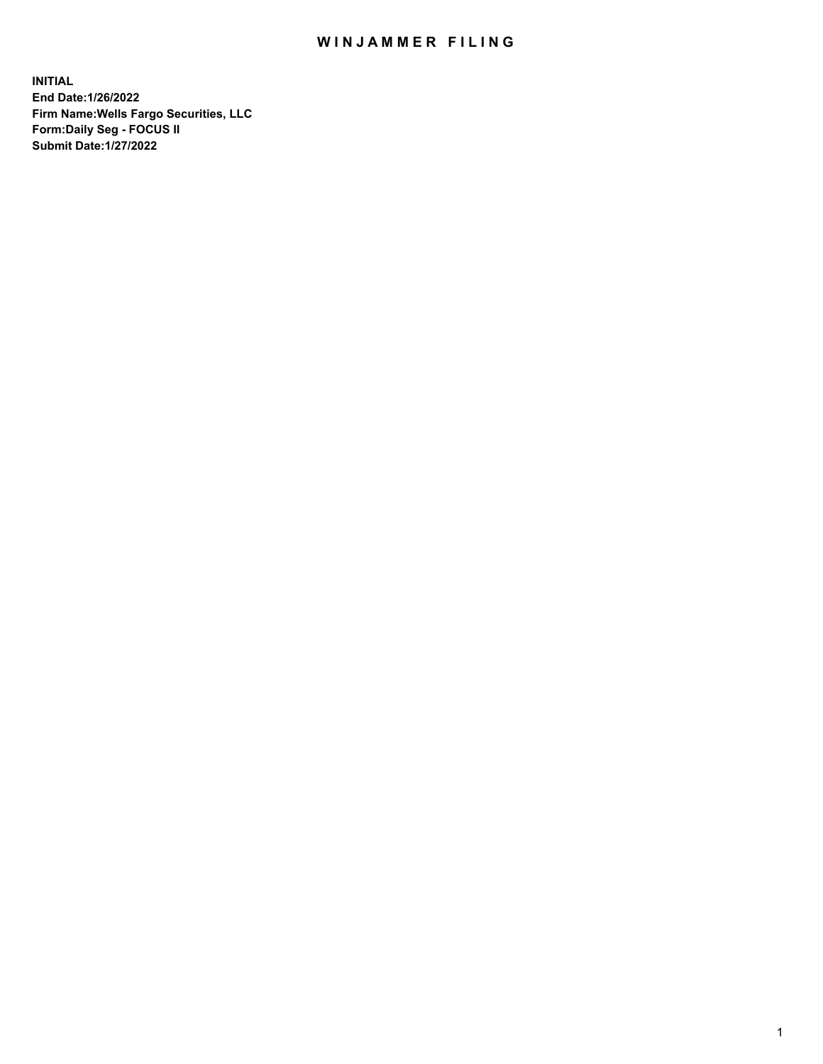## WIN JAMMER FILING

**INITIAL End Date:1/26/2022 Firm Name:Wells Fargo Securities, LLC Form:Daily Seg - FOCUS II Submit Date:1/27/2022**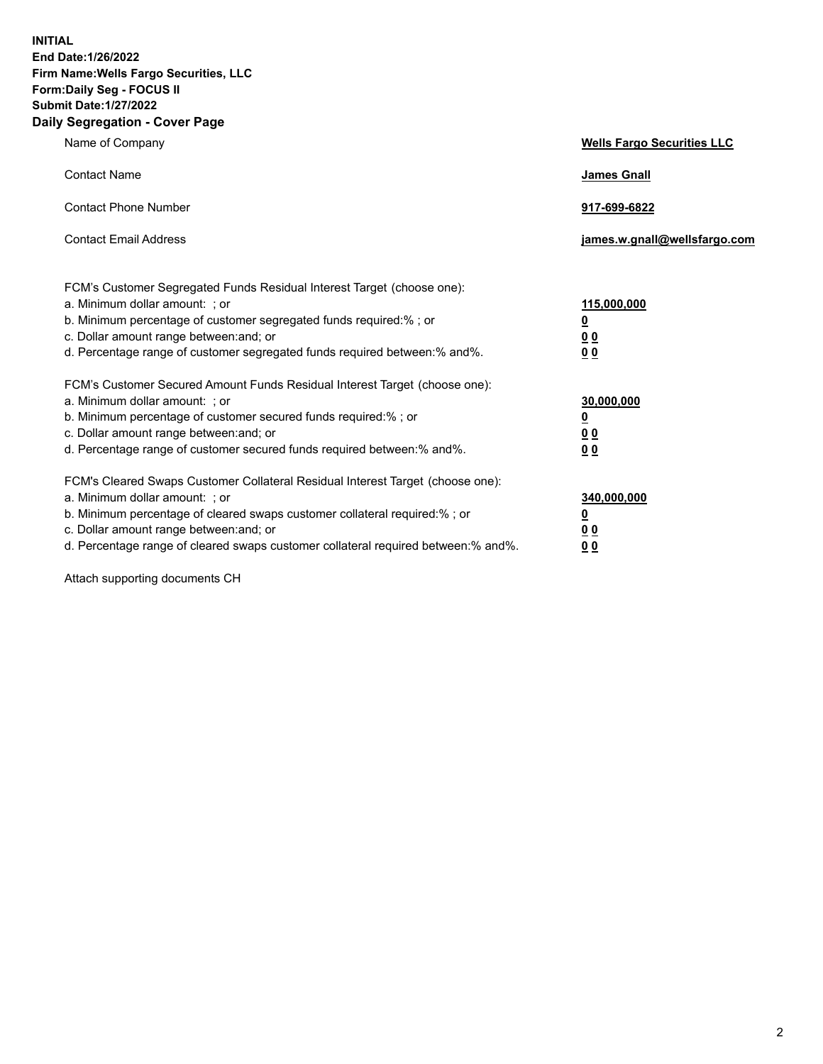**INITIAL End Date:1/26/2022 Firm Name:Wells Fargo Securities, LLC Form:Daily Seg - FOCUS II Submit Date:1/27/2022 Daily Segregation - Cover Page**

| Name of Company                                                                                                                                                                                                                                                                                                               | <b>Wells Fargo Securities LLC</b>                          |
|-------------------------------------------------------------------------------------------------------------------------------------------------------------------------------------------------------------------------------------------------------------------------------------------------------------------------------|------------------------------------------------------------|
| <b>Contact Name</b>                                                                                                                                                                                                                                                                                                           | <b>James Gnall</b>                                         |
| <b>Contact Phone Number</b>                                                                                                                                                                                                                                                                                                   | 917-699-6822                                               |
| <b>Contact Email Address</b>                                                                                                                                                                                                                                                                                                  | james.w.gnall@wellsfargo.com                               |
| FCM's Customer Segregated Funds Residual Interest Target (choose one):<br>a. Minimum dollar amount: ; or<br>b. Minimum percentage of customer segregated funds required:% ; or<br>c. Dollar amount range between: and; or<br>d. Percentage range of customer segregated funds required between:% and%.                        | 115,000,000<br><u>0</u><br>0 <sub>0</sub><br>00            |
| FCM's Customer Secured Amount Funds Residual Interest Target (choose one):<br>a. Minimum dollar amount: ; or<br>b. Minimum percentage of customer secured funds required:%; or<br>c. Dollar amount range between: and; or<br>d. Percentage range of customer secured funds required between: % and %.                         | 30,000,000<br><u>0</u><br>0 <sub>0</sub><br>0 <sub>0</sub> |
| FCM's Cleared Swaps Customer Collateral Residual Interest Target (choose one):<br>a. Minimum dollar amount: ; or<br>b. Minimum percentage of cleared swaps customer collateral required:%; or<br>c. Dollar amount range between: and; or<br>d. Percentage range of cleared swaps customer collateral required between:% and%. | 340,000,000<br><u>0</u><br>00<br>00                        |

Attach supporting documents CH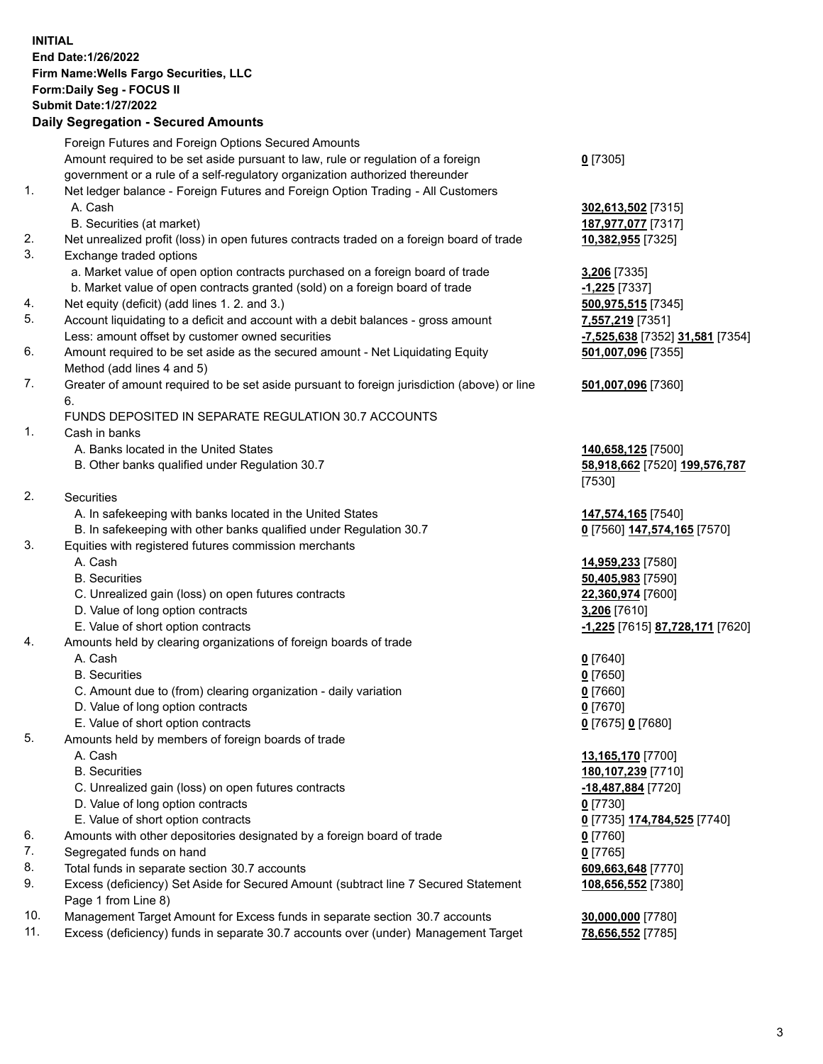**INITIAL End Date:1/26/2022 Firm Name:Wells Fargo Securities, LLC Form:Daily Seg - FOCUS II Submit Date:1/27/2022**

## **Daily Segregation - Secured Amounts**

|    | Foreign Futures and Foreign Options Secured Amounts                                         |                                 |
|----|---------------------------------------------------------------------------------------------|---------------------------------|
|    | Amount required to be set aside pursuant to law, rule or regulation of a foreign            | $0$ [7305]                      |
|    | government or a rule of a self-regulatory organization authorized thereunder                |                                 |
| 1. | Net ledger balance - Foreign Futures and Foreign Option Trading - All Customers             |                                 |
|    | A. Cash                                                                                     | 302,613,502 [7315]              |
|    | B. Securities (at market)                                                                   | 187,977,077 [7317]              |
| 2. | Net unrealized profit (loss) in open futures contracts traded on a foreign board of trade   | 10,382,955 [7325]               |
| 3. | Exchange traded options                                                                     |                                 |
|    | a. Market value of open option contracts purchased on a foreign board of trade              | 3,206 [7335]                    |
|    | b. Market value of open contracts granted (sold) on a foreign board of trade                | $-1,225$ [7337]                 |
| 4. | Net equity (deficit) (add lines 1. 2. and 3.)                                               | 500,975,515 [7345]              |
| 5. | Account liquidating to a deficit and account with a debit balances - gross amount           | 7,557,219 [7351]                |
|    |                                                                                             |                                 |
| 6. | Less: amount offset by customer owned securities                                            | -7,525,638 [7352] 31,581 [7354] |
|    | Amount required to be set aside as the secured amount - Net Liquidating Equity              | 501,007,096 [7355]              |
| 7. | Method (add lines 4 and 5)                                                                  |                                 |
|    | Greater of amount required to be set aside pursuant to foreign jurisdiction (above) or line | 501,007,096 [7360]              |
|    | 6.                                                                                          |                                 |
|    | FUNDS DEPOSITED IN SEPARATE REGULATION 30.7 ACCOUNTS                                        |                                 |
| 1. | Cash in banks                                                                               |                                 |
|    | A. Banks located in the United States                                                       | 140,658,125 [7500]              |
|    | B. Other banks qualified under Regulation 30.7                                              | 58,918,662 [7520] 199,576,787   |
|    |                                                                                             | [7530]                          |
| 2. | Securities                                                                                  |                                 |
|    | A. In safekeeping with banks located in the United States                                   | 147,574,165 [7540]              |
|    | B. In safekeeping with other banks qualified under Regulation 30.7                          | 0 [7560] 147,574,165 [7570]     |
| 3. | Equities with registered futures commission merchants                                       |                                 |
|    | A. Cash                                                                                     | 14,959,233 [7580]               |
|    | <b>B.</b> Securities                                                                        | 50,405,983 [7590]               |
|    | C. Unrealized gain (loss) on open futures contracts                                         | 22,360,974 [7600]               |
|    | D. Value of long option contracts                                                           | 3,206 [7610]                    |
|    | E. Value of short option contracts                                                          | -1,225 [7615] 87,728,171 [7620] |
| 4. | Amounts held by clearing organizations of foreign boards of trade                           |                                 |
|    | A. Cash                                                                                     | $0$ [7640]                      |
|    | <b>B.</b> Securities                                                                        | $0$ [7650]                      |
|    | C. Amount due to (from) clearing organization - daily variation                             | $0$ [7660]                      |
|    | D. Value of long option contracts                                                           | $0$ [7670]                      |
|    | E. Value of short option contracts                                                          | 0 [7675] 0 [7680]               |
| 5. | Amounts held by members of foreign boards of trade                                          |                                 |
|    | A. Cash                                                                                     | 13,165,170 [7700]               |
|    | <b>B.</b> Securities                                                                        | 180,107,239 [7710]              |
|    | C. Unrealized gain (loss) on open futures contracts                                         | -18,487,884 [7720]              |
|    | D. Value of long option contracts                                                           | $0$ [7730]                      |
|    | E. Value of short option contracts                                                          | 0 [7735] 174,784,525 [7740]     |
| 6. | Amounts with other depositories designated by a foreign board of trade                      | 0 [7760]                        |
| 7. | Segregated funds on hand                                                                    | $0$ [7765]                      |
| 8. | Total funds in separate section 30.7 accounts                                               | 609,663,648 [7770]              |
| 9. | Excess (deficiency) Set Aside for Secured Amount (subtract line 7 Secured Statement         | 108,656,552 [7380]              |
|    | Page 1 from Line 8)                                                                         |                                 |
|    |                                                                                             |                                 |

- 10. Management Target Amount for Excess funds in separate section 30.7 accounts **30,000,000** [7780]
- 11. Excess (deficiency) funds in separate 30.7 accounts over (under) Management Target **78,656,552** [7785]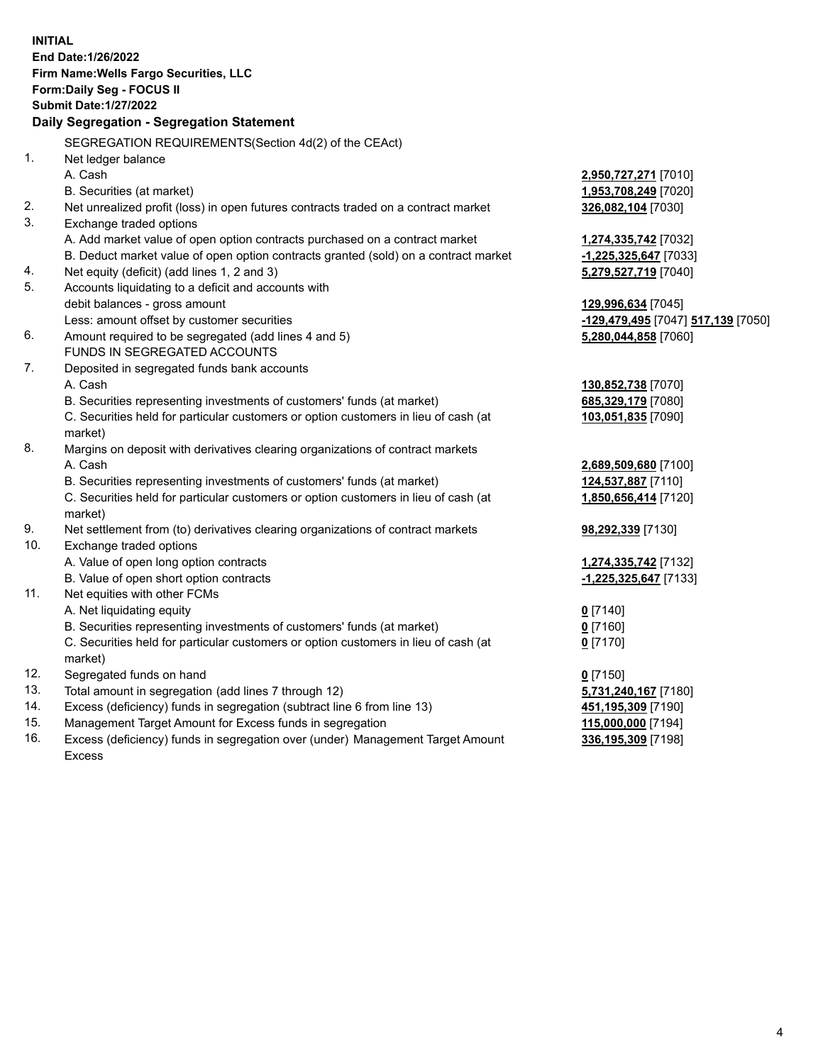**INITIAL End Date:1/26/2022 Firm Name:Wells Fargo Securities, LLC Form:Daily Seg - FOCUS II Submit Date:1/27/2022 Daily Segregation - Segregation Statement** SEGREGATION REQUIREMENTS(Section 4d(2) of the CEAct) 1. Net ledger balance A. Cash **2,950,727,271** [7010] B. Securities (at market) **1,953,708,249** [7020] 2. Net unrealized profit (loss) in open futures contracts traded on a contract market **326,082,104** [7030] 3. Exchange traded options A. Add market value of open option contracts purchased on a contract market **1,274,335,742** [7032] B. Deduct market value of open option contracts granted (sold) on a contract market **-1,225,325,647** [7033] 4. Net equity (deficit) (add lines 1, 2 and 3) **5,279,527,719** [7040] 5. Accounts liquidating to a deficit and accounts with debit balances - gross amount **129,996,634** [7045] Less: amount offset by customer securities **-129,479,495** [7047] **517,139** [7050] 6. Amount required to be segregated (add lines 4 and 5) **5,280,044,858** [7060] FUNDS IN SEGREGATED ACCOUNTS 7. Deposited in segregated funds bank accounts A. Cash **130,852,738** [7070] B. Securities representing investments of customers' funds (at market) **685,329,179** [7080] C. Securities held for particular customers or option customers in lieu of cash (at market) **103,051,835** [7090] 8. Margins on deposit with derivatives clearing organizations of contract markets A. Cash **2,689,509,680** [7100] B. Securities representing investments of customers' funds (at market) **124,537,887** [7110] C. Securities held for particular customers or option customers in lieu of cash (at market) **1,850,656,414** [7120] 9. Net settlement from (to) derivatives clearing organizations of contract markets **98,292,339** [7130] 10. Exchange traded options A. Value of open long option contracts **1,274,335,742** [7132] B. Value of open short option contracts **-1,225,325,647** [7133] 11. Net equities with other FCMs A. Net liquidating equity **0** [7140] B. Securities representing investments of customers' funds (at market) **0** [7160] C. Securities held for particular customers or option customers in lieu of cash (at market) **0** [7170] 12. Segregated funds on hand **0** [7150] 13. Total amount in segregation (add lines 7 through 12) **5,731,240,167** [7180] 14. Excess (deficiency) funds in segregation (subtract line 6 from line 13) **451,195,309** [7190] 15. Management Target Amount for Excess funds in segregation **115,000,000** [7194] 16. Excess (deficiency) funds in segregation over (under) Management Target Amount **336,195,309** [7198]

Excess